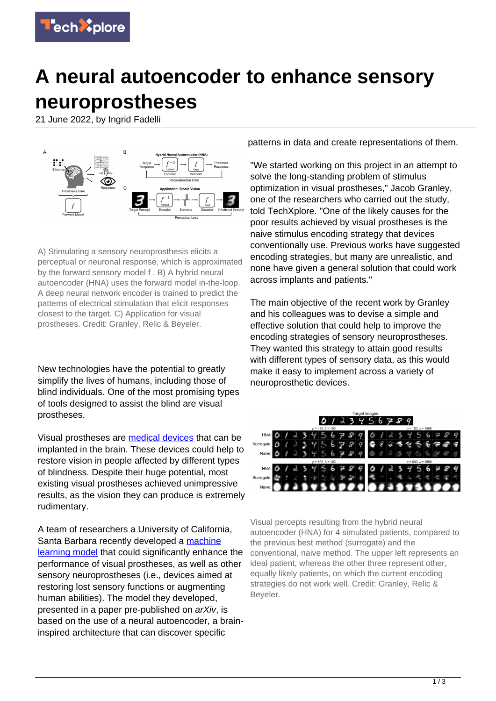

## **A neural autoencoder to enhance sensory neuroprostheses**

21 June 2022, by Ingrid Fadelli



A) Stimulating a sensory neuroprosthesis elicits a perceptual or neuronal response, which is approximated by the forward sensory model f . B) A hybrid neural autoencoder (HNA) uses the forward model in-the-loop. A deep neural network encoder is trained to predict the patterns of electrical stimulation that elicit responses closest to the target. C) Application for visual prostheses. Credit: Granley, Relic & Beyeler.

New technologies have the potential to greatly simplify the lives of humans, including those of blind individuals. One of the most promising types of tools designed to assist the blind are visual prostheses.

Visual prostheses are [medical devices](https://techxplore.com/tags/medical+devices/) that can be implanted in the brain. These devices could help to restore vision in people affected by different types of blindness. Despite their huge potential, most existing visual prostheses achieved unimpressive results, as the vision they can produce is extremely rudimentary.

A team of researchers a University of California, Santa Barbara recently developed a [machine](https://techxplore.com/tags/machine+learning+model/) [learning model](https://techxplore.com/tags/machine+learning+model/) that could significantly enhance the performance of visual prostheses, as well as other sensory neuroprostheses (i.e., devices aimed at restoring lost sensory functions or augmenting human abilities). The model they developed, presented in a paper pre-published on arXiv, is based on the use of a neural autoencoder, a braininspired architecture that can discover specific

patterns in data and create representations of them.

"We started working on this project in an attempt to solve the long-standing problem of stimulus optimization in visual prostheses," Jacob Granley, one of the researchers who carried out the study, told TechXplore. "One of the likely causes for the poor results achieved by visual prostheses is the naive stimulus encoding strategy that devices conventionally use. Previous works have suggested encoding strategies, but many are unrealistic, and none have given a general solution that could work across implants and patients."

The main objective of the recent work by Granley and his colleagues was to devise a simple and effective solution that could help to improve the encoding strategies of sensory neuroprostheses. They wanted this strategy to attain good results with different types of sensory data, as this would make it easy to implement across a variety of neuroprosthetic devices.



Visual percepts resulting from the hybrid neural autoencoder (HNA) for 4 simulated patients, compared to the previous best method (surrogate) and the conventional, naive method. The upper left represents an ideal patient, whereas the other three represent other, equally likely patients, on which the current encoding strategies do not work well. Credit: Granley, Relic & Beyeler.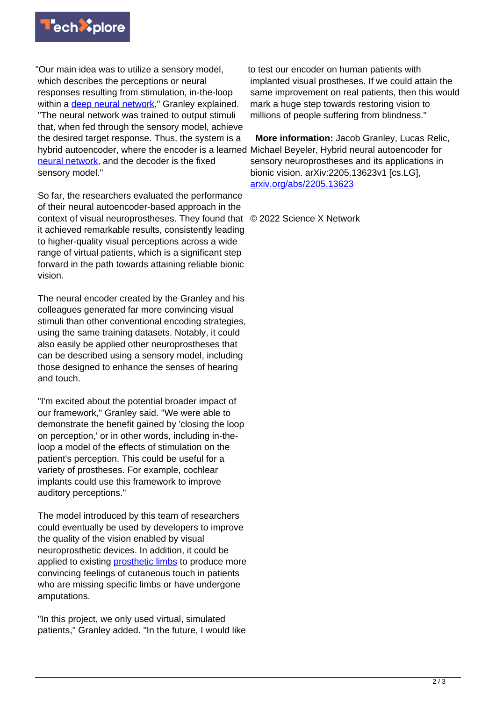

"Our main idea was to utilize a sensory model, which describes the perceptions or neural responses resulting from stimulation, in-the-loop within a [deep neural network](https://techxplore.com/tags/deep+neural+network/)," Granley explained. "The neural network was trained to output stimuli that, when fed through the sensory model, achieve the desired target response. Thus, the system is a hybrid autoencoder, where the encoder is a learned Michael Beyeler, Hybrid neural autoencoder for [neural network](https://techxplore.com/tags/neural+network/), and the decoder is the fixed sensory model."

So far, the researchers evaluated the performance of their neural autoencoder-based approach in the context of visual neuroprostheses. They found that © 2022 Science X Network it achieved remarkable results, consistently leading to higher-quality visual perceptions across a wide range of virtual patients, which is a significant step forward in the path towards attaining reliable bionic vision.

The neural encoder created by the Granley and his colleagues generated far more convincing visual stimuli than other conventional encoding strategies, using the same training datasets. Notably, it could also easily be applied other neuroprostheses that can be described using a sensory model, including those designed to enhance the senses of hearing and touch.

"I'm excited about the potential broader impact of our framework," Granley said. "We were able to demonstrate the benefit gained by 'closing the loop on perception,' or in other words, including in-theloop a model of the effects of stimulation on the patient's perception. This could be useful for a variety of prostheses. For example, cochlear implants could use this framework to improve auditory perceptions."

The model introduced by this team of researchers could eventually be used by developers to improve the quality of the vision enabled by visual neuroprosthetic devices. In addition, it could be applied to existing [prosthetic limbs](https://techxplore.com/tags/prosthetic+limbs/) to produce more convincing feelings of cutaneous touch in patients who are missing specific limbs or have undergone amputations.

"In this project, we only used virtual, simulated patients," Granley added. "In the future, I would like

to test our encoder on human patients with implanted visual prostheses. If we could attain the same improvement on real patients, then this would mark a huge step towards restoring vision to millions of people suffering from blindness."

 **More information:** Jacob Granley, Lucas Relic, sensory neuroprostheses and its applications in bionic vision. arXiv:2205.13623v1 [cs.LG], [arxiv.org/abs/2205.13623](https://arxiv.org/abs/2205.13623)